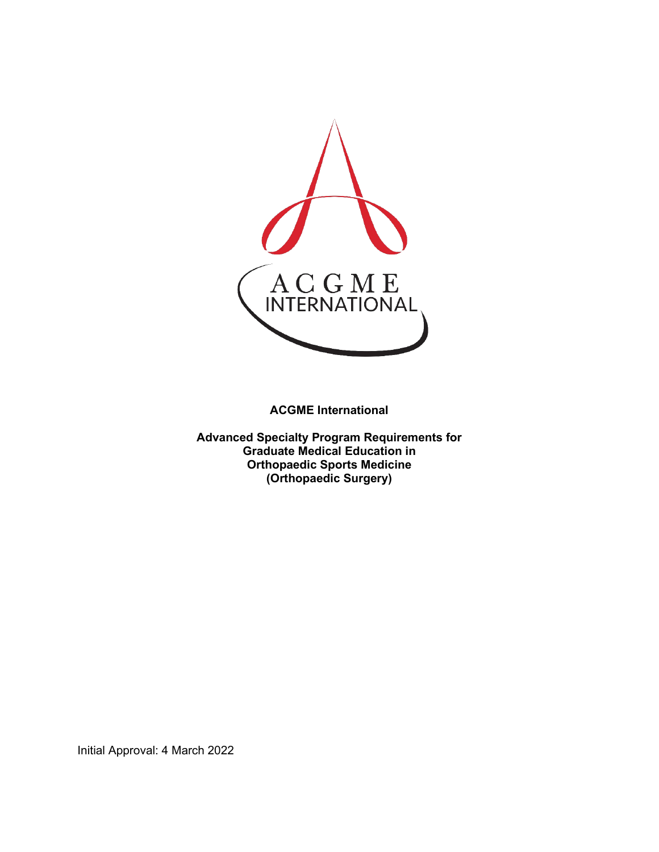

**ACGME International** 

**Advanced Specialty Program Requirements for Graduate Medical Education in Orthopaedic Sports Medicine (Orthopaedic Surgery)**

Initial Approval: 4 March 2022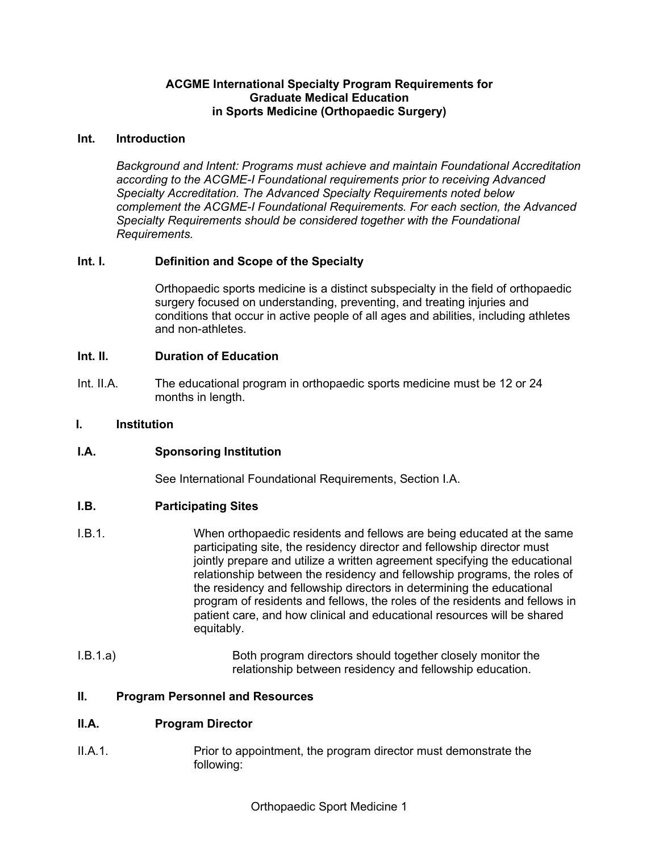# **ACGME International Specialty Program Requirements for Graduate Medical Education in Sports Medicine (Orthopaedic Surgery)**

## **Int. Introduction**

*Background and Intent: Programs must achieve and maintain Foundational Accreditation according to the ACGME-I Foundational requirements prior to receiving Advanced Specialty Accreditation. The Advanced Specialty Requirements noted below complement the ACGME-I Foundational Requirements. For each section, the Advanced Specialty Requirements should be considered together with the Foundational Requirements.*

# **Int. I. Definition and Scope of the Specialty**

Orthopaedic sports medicine is a distinct subspecialty in the field of orthopaedic surgery focused on understanding, preventing, and treating injuries and conditions that occur in active people of all ages and abilities, including athletes and non-athletes.

## **Int. II. Duration of Education**

Int. II.A. The educational program in orthopaedic sports medicine must be 12 or 24 months in length.

## **I. Institution**

# **I.A. Sponsoring Institution**

See International Foundational Requirements, Section I.A.

# **I.B. Participating Sites**

- I.B.1. When orthopaedic residents and fellows are being educated at the same participating site, the residency director and fellowship director must jointly prepare and utilize a written agreement specifying the educational relationship between the residency and fellowship programs, the roles of the residency and fellowship directors in determining the educational program of residents and fellows, the roles of the residents and fellows in patient care, and how clinical and educational resources will be shared equitably.
- I.B.1.a) Both program directors should together closely monitor the relationship between residency and fellowship education.

### **II. Program Personnel and Resources**

# **II.A. Program Director**

II.A.1. Prior to appointment, the program director must demonstrate the following: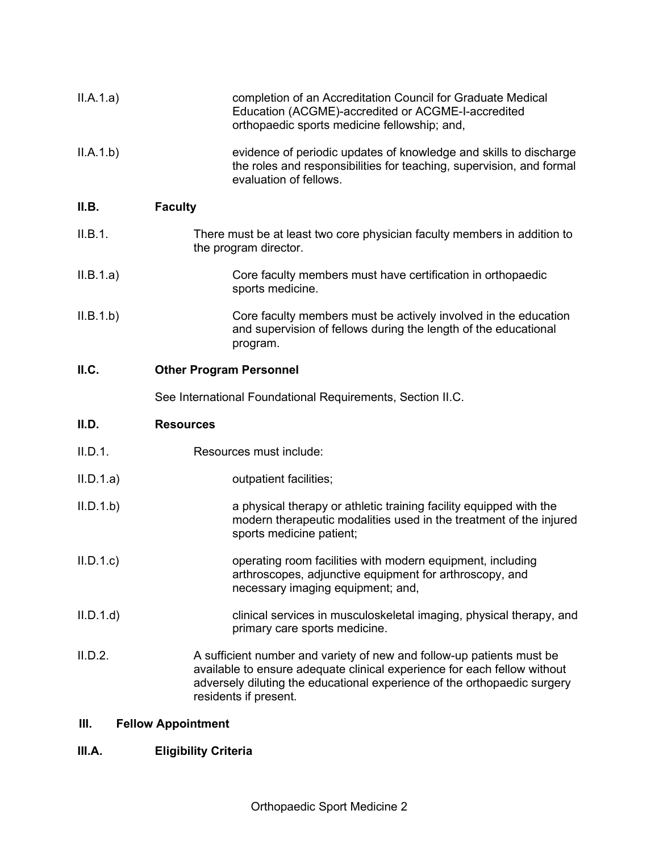| II.A.1.a) | completion of an Accreditation Council for Graduate Medical<br>Education (ACGME)-accredited or ACGME-I-accredited<br>orthopaedic sports medicine fellowship; and,                                                                                      |
|-----------|--------------------------------------------------------------------------------------------------------------------------------------------------------------------------------------------------------------------------------------------------------|
| II.A.1.b) | evidence of periodic updates of knowledge and skills to discharge<br>the roles and responsibilities for teaching, supervision, and formal<br>evaluation of fellows.                                                                                    |
| II.B.     | <b>Faculty</b>                                                                                                                                                                                                                                         |
| II.B.1.   | There must be at least two core physician faculty members in addition to<br>the program director.                                                                                                                                                      |
| II.B.1.a) | Core faculty members must have certification in orthopaedic<br>sports medicine.                                                                                                                                                                        |
| II.B.1.b) | Core faculty members must be actively involved in the education<br>and supervision of fellows during the length of the educational<br>program.                                                                                                         |
| II.C.     | <b>Other Program Personnel</b>                                                                                                                                                                                                                         |
|           | See International Foundational Requirements, Section II.C.                                                                                                                                                                                             |
| II.D.     | <b>Resources</b>                                                                                                                                                                                                                                       |
| II.D.1.   | Resources must include:                                                                                                                                                                                                                                |
| II.D.1.a) | outpatient facilities;                                                                                                                                                                                                                                 |
| II.D.1.b  | a physical therapy or athletic training facility equipped with the<br>modern therapeutic modalities used in the treatment of the injured<br>sports medicine patient;                                                                                   |
| II.D.1.c  | operating room facilities with modern equipment, including<br>arthroscopes, adjunctive equipment for arthroscopy, and<br>necessary imaging equipment; and,                                                                                             |
| II.D.1.d  | clinical services in musculoskeletal imaging, physical therapy, and<br>primary care sports medicine.                                                                                                                                                   |
| II.D.2.   | A sufficient number and variety of new and follow-up patients must be<br>available to ensure adequate clinical experience for each fellow without<br>adversely diluting the educational experience of the orthopaedic surgery<br>residents if present. |

# **III. Fellow Appointment**

# **III.A. Eligibility Criteria**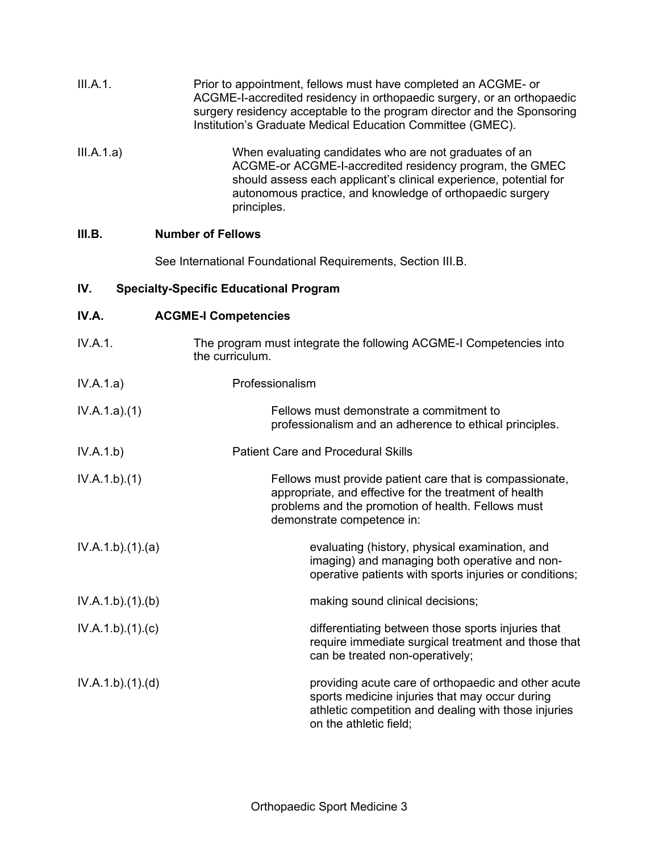| III.A.1.          | Prior to appointment, fellows must have completed an ACGME- or<br>ACGME-I-accredited residency in orthopaedic surgery, or an orthopaedic<br>surgery residency acceptable to the program director and the Sponsoring<br>Institution's Graduate Medical Education Committee (GMEC). |
|-------------------|-----------------------------------------------------------------------------------------------------------------------------------------------------------------------------------------------------------------------------------------------------------------------------------|
| III.A.1.a)        | When evaluating candidates who are not graduates of an<br>ACGME-or ACGME-I-accredited residency program, the GMEC<br>should assess each applicant's clinical experience, potential for<br>autonomous practice, and knowledge of orthopaedic surgery<br>principles.                |
| III.B.            | <b>Number of Fellows</b>                                                                                                                                                                                                                                                          |
|                   | See International Foundational Requirements, Section III.B.                                                                                                                                                                                                                       |
| IV.               | <b>Specialty-Specific Educational Program</b>                                                                                                                                                                                                                                     |
| IV.A.             | <b>ACGME-I Competencies</b>                                                                                                                                                                                                                                                       |
| IV.A.1.           | The program must integrate the following ACGME-I Competencies into<br>the curriculum.                                                                                                                                                                                             |
| IV.A.1.a)         | Professionalism                                                                                                                                                                                                                                                                   |
| IV.A.1.a)(1)      | Fellows must demonstrate a commitment to<br>professionalism and an adherence to ethical principles.                                                                                                                                                                               |
| IV.A.1.b)         | <b>Patient Care and Procedural Skills</b>                                                                                                                                                                                                                                         |
| IV.A.1.b)(1)      | Fellows must provide patient care that is compassionate,<br>appropriate, and effective for the treatment of health<br>problems and the promotion of health. Fellows must<br>demonstrate competence in:                                                                            |
| IV.A.1.b).(1).(a) | evaluating (history, physical examination, and<br>imaging) and managing both operative and non-<br>operative patients with sports injuries or conditions;                                                                                                                         |
| IV.A.1.b)(1)(b)   | making sound clinical decisions;                                                                                                                                                                                                                                                  |
| IV.A.1.b)(1)(c)   | differentiating between those sports injuries that<br>require immediate surgical treatment and those that<br>can be treated non-operatively;                                                                                                                                      |
| IV.A.1.b)(1)(d)   | providing acute care of orthopaedic and other acute<br>sports medicine injuries that may occur during<br>athletic competition and dealing with those injuries<br>on the athletic field;                                                                                           |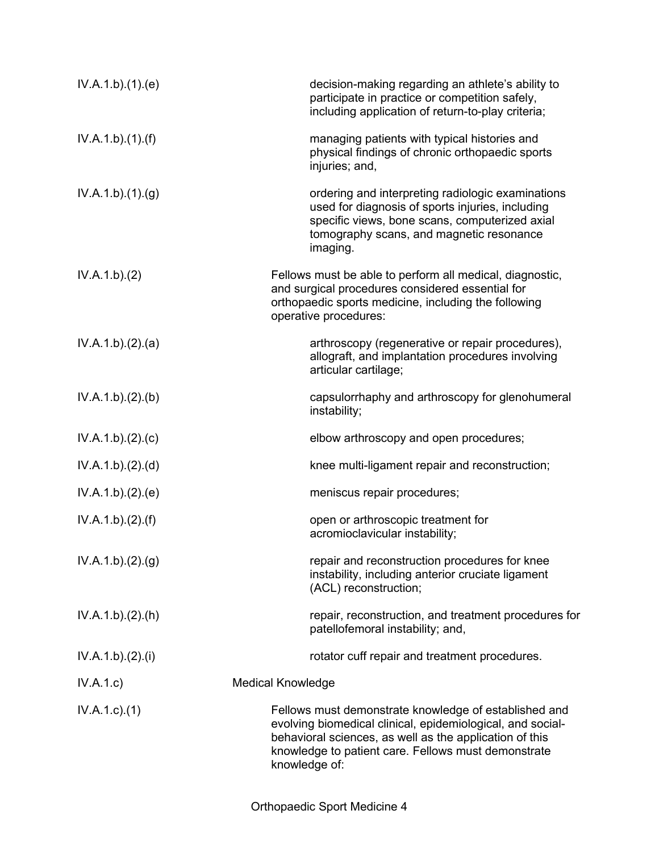| IV.A.1.b)(1)(e)  | decision-making regarding an athlete's ability to<br>participate in practice or competition safely,<br>including application of return-to-play criteria;                                                                                               |
|------------------|--------------------------------------------------------------------------------------------------------------------------------------------------------------------------------------------------------------------------------------------------------|
| IV.A.1.b)(1)(f)  | managing patients with typical histories and<br>physical findings of chronic orthopaedic sports<br>injuries; and,                                                                                                                                      |
| IV.A.1.b)(1)(g)  | ordering and interpreting radiologic examinations<br>used for diagnosis of sports injuries, including<br>specific views, bone scans, computerized axial<br>tomography scans, and magnetic resonance<br>imaging.                                        |
| IV.A.1.b)(2)     | Fellows must be able to perform all medical, diagnostic,<br>and surgical procedures considered essential for<br>orthopaedic sports medicine, including the following<br>operative procedures:                                                          |
| IV.A.1.b)(2).(a) | arthroscopy (regenerative or repair procedures),<br>allograft, and implantation procedures involving<br>articular cartilage;                                                                                                                           |
| IV.A.1.b)(2)(b)  | capsulorrhaphy and arthroscopy for glenohumeral<br>instability;                                                                                                                                                                                        |
| IV.A.1.b)(2).(c) | elbow arthroscopy and open procedures;                                                                                                                                                                                                                 |
| IV.A.1.b)(2)(d)  | knee multi-ligament repair and reconstruction;                                                                                                                                                                                                         |
| IV.A.1.b)(2)(e)  | meniscus repair procedures;                                                                                                                                                                                                                            |
| IV.A.1.b)(2)(f)  | open or arthroscopic treatment for<br>acromioclavicular instability;                                                                                                                                                                                   |
| IV.A.1.b)(2)(g)  | repair and reconstruction procedures for knee<br>instability, including anterior cruciate ligament<br>(ACL) reconstruction;                                                                                                                            |
| IV.A.1.b)(2).(h) | repair, reconstruction, and treatment procedures for<br>patellofemoral instability; and,                                                                                                                                                               |
| IV.A.1.b)(2).(i) | rotator cuff repair and treatment procedures.                                                                                                                                                                                                          |
| IV.A.1.c)        | <b>Medical Knowledge</b>                                                                                                                                                                                                                               |
| $IV.A.1.c.$ (1)  | Fellows must demonstrate knowledge of established and<br>evolving biomedical clinical, epidemiological, and social-<br>behavioral sciences, as well as the application of this<br>knowledge to patient care. Fellows must demonstrate<br>knowledge of: |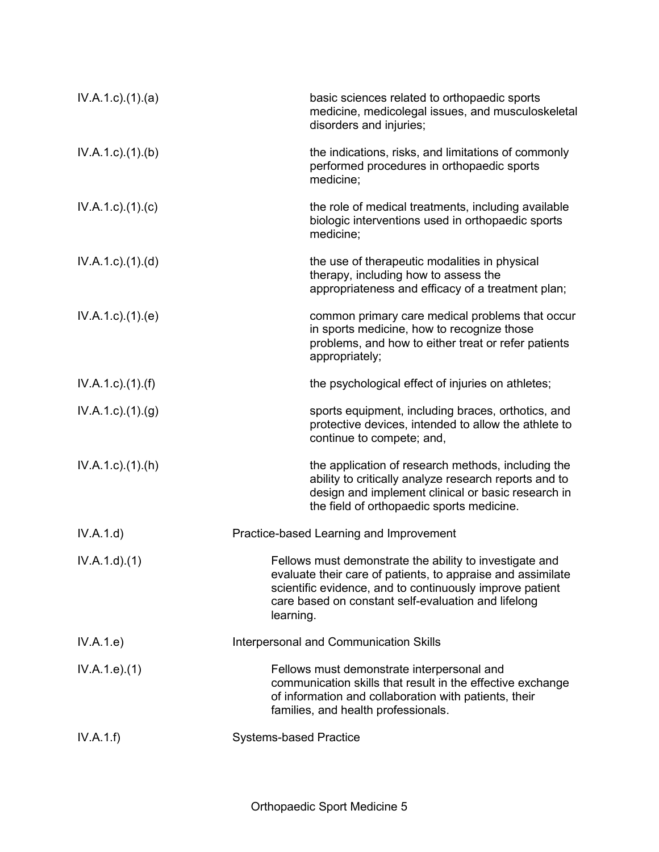| $IV.A.1.c$ . $(1).$ $(a)$   | basic sciences related to orthopaedic sports<br>medicine, medicolegal issues, and musculoskeletal<br>disorders and injuries;                                                                                                                           |
|-----------------------------|--------------------------------------------------------------------------------------------------------------------------------------------------------------------------------------------------------------------------------------------------------|
| $IV.A.1.c$ . $(1).$ (b)     | the indications, risks, and limitations of commonly<br>performed procedures in orthopaedic sports<br>medicine;                                                                                                                                         |
| $IV.A.1.c$ ). $(1).$ (c)    | the role of medical treatments, including available<br>biologic interventions used in orthopaedic sports<br>medicine;                                                                                                                                  |
| $IV.A.1.c$ . $(1).$ $(d)$   | the use of therapeutic modalities in physical<br>therapy, including how to assess the<br>appropriateness and efficacy of a treatment plan;                                                                                                             |
| $IV.A.1.c$ . $(1).$ (e)     | common primary care medical problems that occur<br>in sports medicine, how to recognize those<br>problems, and how to either treat or refer patients<br>appropriately;                                                                                 |
| $IV.A.1.c$ ). $(1)$ . $(f)$ | the psychological effect of injuries on athletes;                                                                                                                                                                                                      |
| $IV.A.1.c.$ (1).(g)         | sports equipment, including braces, orthotics, and<br>protective devices, intended to allow the athlete to<br>continue to compete; and,                                                                                                                |
| $IV.A.1.c$ . $(1).(h)$      | the application of research methods, including the<br>ability to critically analyze research reports and to<br>design and implement clinical or basic research in<br>the field of orthopaedic sports medicine.                                         |
| IV.A.1.d)                   | Practice-based Learning and Improvement                                                                                                                                                                                                                |
| IV.A.1.d)(1)                | Fellows must demonstrate the ability to investigate and<br>evaluate their care of patients, to appraise and assimilate<br>scientific evidence, and to continuously improve patient<br>care based on constant self-evaluation and lifelong<br>learning. |
| IV.A.1.e)                   | <b>Interpersonal and Communication Skills</b>                                                                                                                                                                                                          |
| IV.A.1.e. (1)               | Fellows must demonstrate interpersonal and<br>communication skills that result in the effective exchange<br>of information and collaboration with patients, their<br>families, and health professionals.                                               |
| IV.A.1.f)                   | <b>Systems-based Practice</b>                                                                                                                                                                                                                          |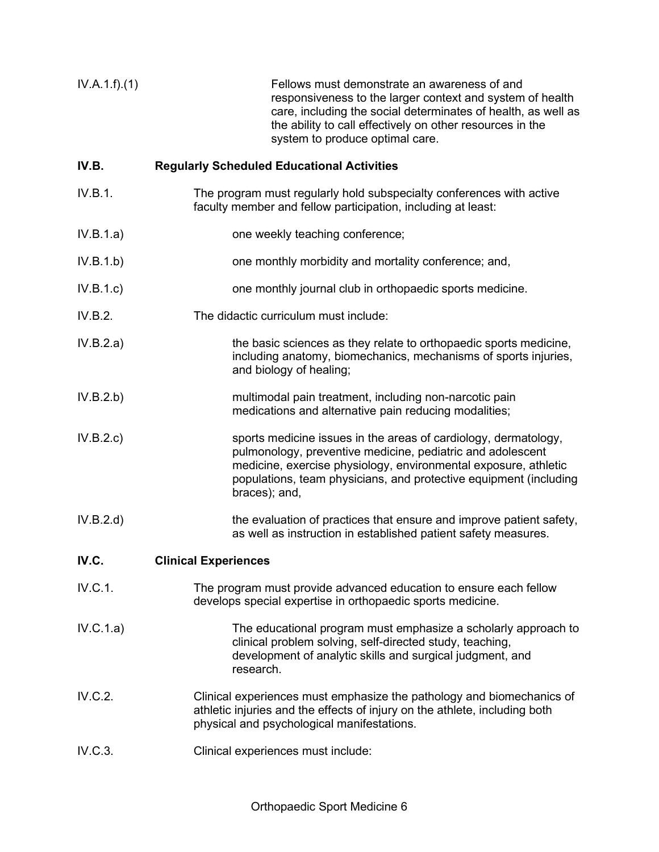| IV.A.1.f)(1) | Fellows must demonstrate an awareness of and<br>responsiveness to the larger context and system of health<br>care, including the social determinates of health, as well as<br>the ability to call effectively on other resources in the |
|--------------|-----------------------------------------------------------------------------------------------------------------------------------------------------------------------------------------------------------------------------------------|
|              | system to produce optimal care.                                                                                                                                                                                                         |

# **IV.B. Regularly Scheduled Educational Activities**

- IV.B.1. The program must regularly hold subspecialty conferences with active faculty member and fellow participation, including at least:
- IV.B.1.a) one weekly teaching conference;
- IV.B.1.b) one monthly morbidity and mortality conference; and,
- IV.B.1.c) one monthly journal club in orthopaedic sports medicine.
- IV.B.2. The didactic curriculum must include:
- IV.B.2.a) the basic sciences as they relate to orthopaedic sports medicine, including anatomy, biomechanics, mechanisms of sports injuries, and biology of healing;
- IV.B.2.b) multimodal pain treatment, including non-narcotic pain medications and alternative pain reducing modalities;
- IV.B.2.c) sports medicine issues in the areas of cardiology, dermatology, pulmonology, preventive medicine, pediatric and adolescent medicine, exercise physiology, environmental exposure, athletic populations, team physicians, and protective equipment (including braces); and,
- IV.B.2.d) the evaluation of practices that ensure and improve patient safety, as well as instruction in established patient safety measures.
- **IV.C. Clinical Experiences**
- IV.C.1. The program must provide advanced education to ensure each fellow develops special expertise in orthopaedic sports medicine.
- IV.C.1.a) The educational program must emphasize a scholarly approach to clinical problem solving, self-directed study, teaching, development of analytic skills and surgical judgment, and research.
- IV.C.2. Clinical experiences must emphasize the pathology and biomechanics of athletic injuries and the effects of injury on the athlete, including both physical and psychological manifestations.
- IV.C.3. Clinical experiences must include: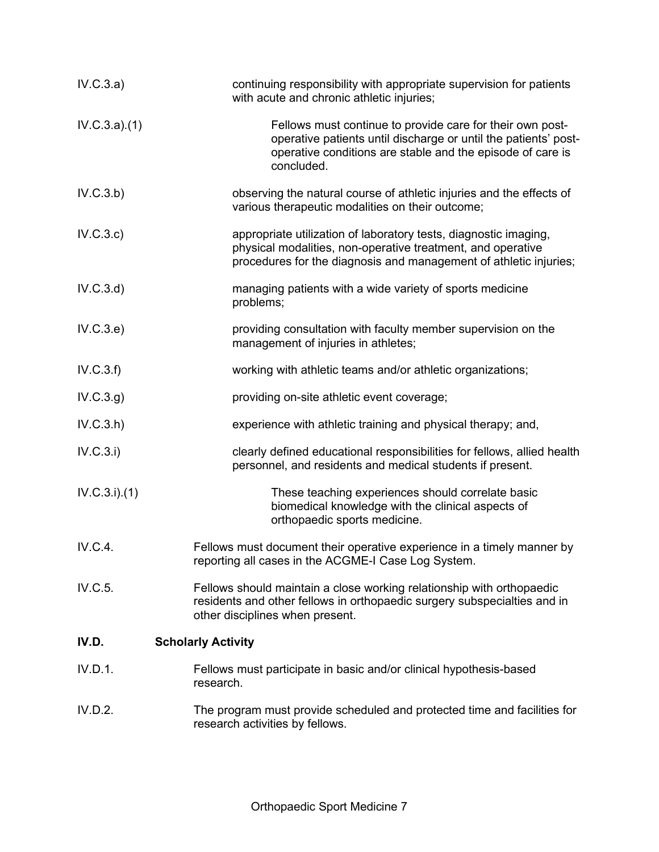| IV.C.3.a)    | continuing responsibility with appropriate supervision for patients<br>with acute and chronic athletic injuries;                                                                                         |
|--------------|----------------------------------------------------------------------------------------------------------------------------------------------------------------------------------------------------------|
| IV.C.3.a)(1) | Fellows must continue to provide care for their own post-<br>operative patients until discharge or until the patients' post-<br>operative conditions are stable and the episode of care is<br>concluded. |
| IV.C.3.b)    | observing the natural course of athletic injuries and the effects of<br>various therapeutic modalities on their outcome;                                                                                 |
| IV.C.3.c)    | appropriate utilization of laboratory tests, diagnostic imaging,<br>physical modalities, non-operative treatment, and operative<br>procedures for the diagnosis and management of athletic injuries;     |
| IV.C.3.d)    | managing patients with a wide variety of sports medicine<br>problems;                                                                                                                                    |
| IV.C.3.e)    | providing consultation with faculty member supervision on the<br>management of injuries in athletes;                                                                                                     |
| IV.C.3.f)    | working with athletic teams and/or athletic organizations;                                                                                                                                               |
| IV.C.3.g)    | providing on-site athletic event coverage;                                                                                                                                                               |
| IV.C.3.h)    | experience with athletic training and physical therapy; and,                                                                                                                                             |
| IV.C.3.i)    | clearly defined educational responsibilities for fellows, allied health<br>personnel, and residents and medical students if present.                                                                     |
| IV.C.3.i)(1) | These teaching experiences should correlate basic<br>biomedical knowledge with the clinical aspects of<br>orthopaedic sports medicine.                                                                   |
| IV.C.4.      | Fellows must document their operative experience in a timely manner by<br>reporting all cases in the ACGME-I Case Log System.                                                                            |
| IV.C.5.      | Fellows should maintain a close working relationship with orthopaedic<br>residents and other fellows in orthopaedic surgery subspecialties and in<br>other disciplines when present.                     |
| IV.D.        | <b>Scholarly Activity</b>                                                                                                                                                                                |
| IV.D.1.      | Fellows must participate in basic and/or clinical hypothesis-based<br>research.                                                                                                                          |
| IV.D.2.      | The program must provide scheduled and protected time and facilities for<br>research activities by fellows.                                                                                              |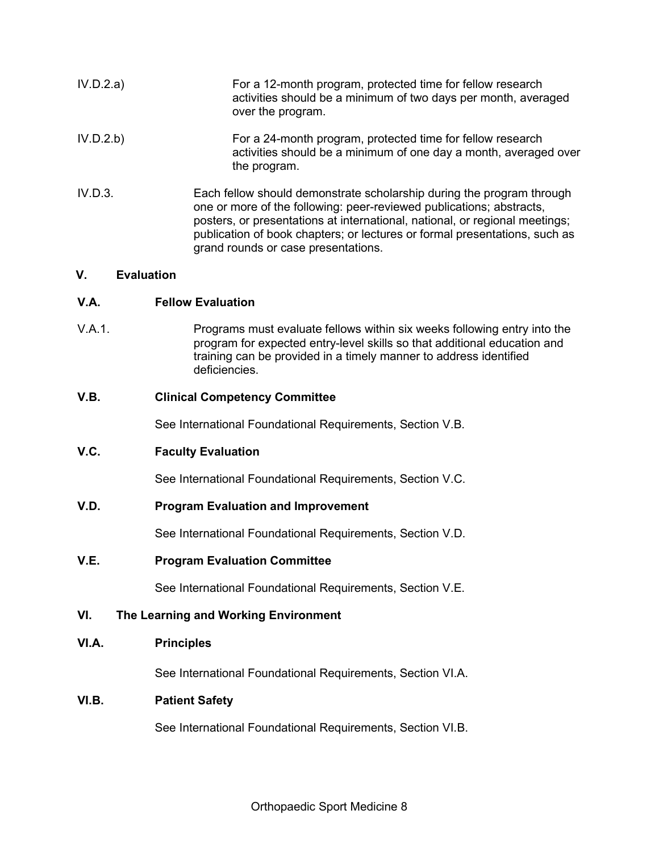| IV.D.2.a) | For a 12-month program, protected time for fellow research<br>activities should be a minimum of two days per month, averaged<br>over the program.                                                                                                                                                                                                 |
|-----------|---------------------------------------------------------------------------------------------------------------------------------------------------------------------------------------------------------------------------------------------------------------------------------------------------------------------------------------------------|
| IV.D.2.b) | For a 24-month program, protected time for fellow research<br>activities should be a minimum of one day a month, averaged over<br>the program.                                                                                                                                                                                                    |
| IV.D.3.   | Each fellow should demonstrate scholarship during the program through<br>one or more of the following: peer-reviewed publications; abstracts,<br>posters, or presentations at international, national, or regional meetings;<br>publication of book chapters; or lectures or formal presentations, such as<br>grand rounds or case presentations. |

## **V. Evaluation**

## **V.A. Fellow Evaluation**

V.A.1. Programs must evaluate fellows within six weeks following entry into the program for expected entry-level skills so that additional education and training can be provided in a timely manner to address identified deficiencies.

# **V.B. Clinical Competency Committee**

See International Foundational Requirements, Section V.B.

# **V.C. Faculty Evaluation**

See International Foundational Requirements, Section V.C.

### **V.D. Program Evaluation and Improvement**

See International Foundational Requirements, Section V.D.

### **V.E. Program Evaluation Committee**

See International Foundational Requirements, Section V.E.

# **VI. The Learning and Working Environment**

### **VI.A. Principles**

See International Foundational Requirements, Section VI.A.

# **VI.B. Patient Safety**

See International Foundational Requirements, Section VI.B.